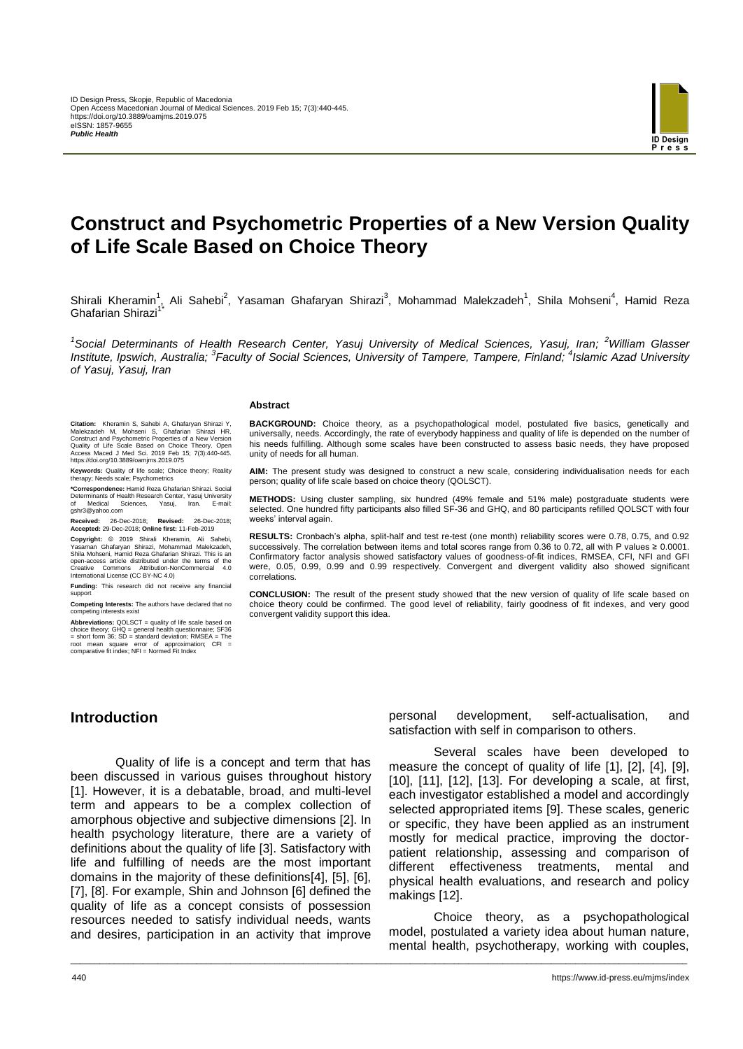

# **Construct and Psychometric Properties of a New Version Quality of Life Scale Based on Choice Theory**

Shirali Kheramin<sup>1</sup>, Ali Sahebi<sup>2</sup>, Yasaman Ghafaryan Shirazi<sup>3</sup>, Mohammad Malekzadeh<sup>1</sup>, Shila Mohseni<sup>4</sup>, Hamid Reza Ghafarian Shirazi<sup>1\*</sup>

*1 Social Determinants of Health Research Center, Yasuj University of Medical Sciences, Yasuj, Iran; <sup>2</sup>William Glasser*  Institute, Ipswich, Australia; <sup>3</sup> Faculty of Social Sciences, University of Tampere, Tampere, Finland; <sup>4</sup>Islamic Azad University *of Yasuj, Yasuj, Iran*

\_\_\_\_\_\_\_\_\_\_\_\_\_\_\_\_\_\_\_\_\_\_\_\_\_\_\_\_\_\_\_\_\_\_\_\_\_\_\_\_\_\_\_\_\_\_\_\_\_\_\_\_\_\_\_\_\_\_\_\_\_\_\_\_\_\_\_\_\_\_\_\_\_\_\_\_\_\_\_\_\_\_\_\_\_\_\_\_\_\_\_\_\_\_\_\_\_\_\_\_\_\_\_\_\_\_\_\_\_\_\_\_\_\_\_\_\_\_\_\_\_\_\_\_\_\_\_

#### **Abstract**

**Citation:** Kheramin S, Sahebi A, Ghafaryan Shirazi Y, Malekzadeh M, Mohseni S, Ghafarian Shirazi HR. Construct and Psychometric Properties of a New Version Quality of Life Scale Based on Choice Theory. Open Access Maced J Med Sci. 2019 Feb 15; 7(3):440-445. https://doi.org/10.3889/oamjms.2019.075

**Keywords:** Quality of life scale; Choice theory; Reality therapy; Needs scale; Psychometrics

**\*Correspondence:** Hamid Reza Ghafarian Shirazi. Social Determinants of Health Research Center, Yasuj University of Medical Sciences, Yasuj, Iran. E-mail: gshr3@yahoo.com

**Received:** 26-Dec-2018; **Revised:** 26-Dec-2018; **Accepted:** 29-Dec-2018; **Online first:** 11-Feb-2019

**Copyright:** © 2019 Shirali Kheramin, Ali Sahebi, Yasaman Ghafaryan Shirazi, Mohammad Malekzadeh, Shila Mohseni, Hamid Reza Ghafarian Shirazi. This is an open-access article distributed under the terms of the Creative Commons Attribution-NonCommercial 4.0 International License (CC BY-NC 4.0)

**Funding:** This research did not receive any financial suppor

**Competing Interests:** The authors have declared that no competing interests exist

**Abbreviations:** QOLSCT = quality of life scale based on choice theory; GHQ = general health questionnaire; SF36 = short form 36; SD = standard deviation; RMSEA = The root mean square error of approximation; CFI = comparative fit index; NFI = Normed Fit Index

**BACKGROUND:** Choice theory, as a psychopathological model, postulated five basics, genetically and universally, needs. Accordingly, the rate of everybody happiness and quality of life is depended on the number of his needs fulfilling. Although some scales have been constructed to assess basic needs, they have proposed unity of needs for all human.

**AIM:** The present study was designed to construct a new scale, considering individualisation needs for each person; quality of life scale based on choice theory (QOLSCT).

**METHODS:** Using cluster sampling, six hundred (49% female and 51% male) postgraduate students were selected. One hundred fifty participants also filled SF-36 and GHQ, and 80 participants refilled QOLSCT with four weeks' interval again.

**RESULTS:** Cronbach's alpha, split-half and test re-test (one month) reliability scores were 0.78, 0.75, and 0.92 successively. The correlation between items and total scores range from 0.36 to 0.72, all with P values ≥ 0.0001. Confirmatory factor analysis showed satisfactory values of goodness-of-fit indices, RMSEA, CFI, NFI and GFI were, 0.05, 0.99, 0.99 and 0.99 respectively. Convergent and divergent validity also showed significant correlations.

**CONCLUSION:** The result of the present study showed that the new version of quality of life scale based on choice theory could be confirmed. The good level of reliability, fairly goodness of fit indexes, and very good convergent validity support this idea.

## **Introduction**

Quality of life is a concept and term that has been discussed in various guises throughout history [1]. However, it is a debatable, broad, and multi-level term and appears to be a complex collection of amorphous objective and subjective dimensions [2]. In health psychology literature, there are a variety of definitions about the quality of life [3]. Satisfactory with life and fulfilling of needs are the most important domains in the majority of these definitions[4], [5], [6], [7], [8]. For example, Shin and Johnson [6] defined the quality of life as a concept consists of possession resources needed to satisfy individual needs, wants and desires, participation in an activity that improve personal development, self-actualisation, and satisfaction with self in comparison to others.

Several scales have been developed to measure the concept of quality of life [1], [2], [4], [9], [10], [11], [12], [13]. For developing a scale, at first, each investigator established a model and accordingly selected appropriated items [9]. These scales, generic or specific, they have been applied as an instrument mostly for medical practice, improving the doctorpatient relationship, assessing and comparison of different effectiveness treatments, mental and physical health evaluations, and research and policy makings [12].

Choice theory, as a psychopathological model, postulated a variety idea about human nature, mental health, psychotherapy, working with couples,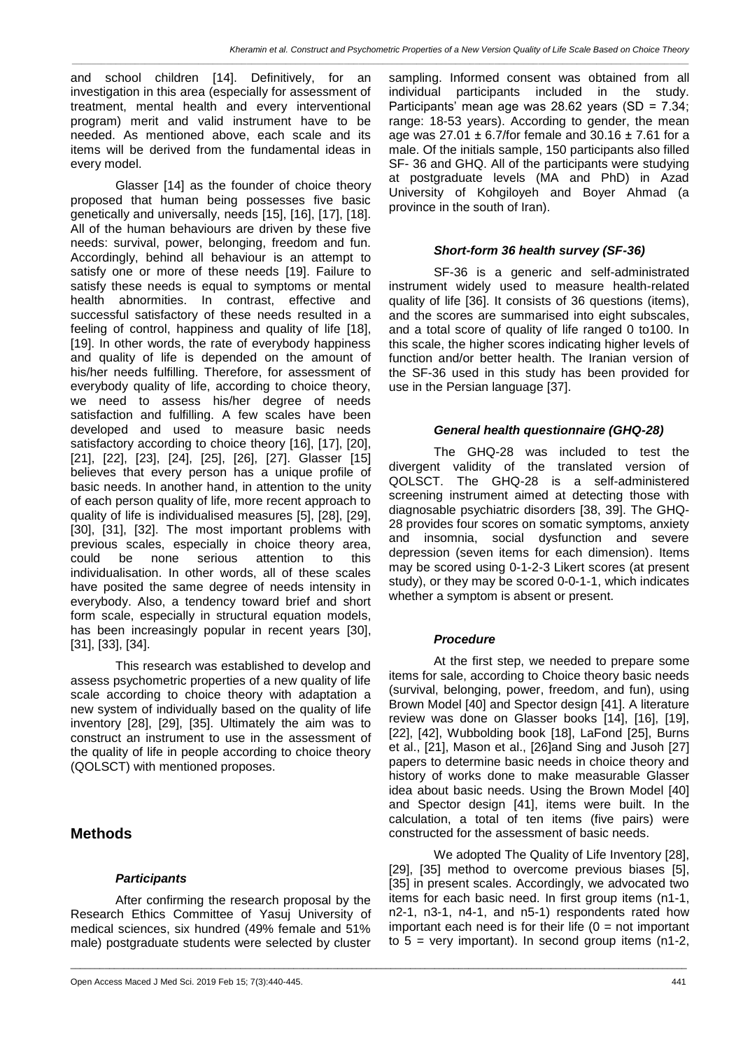*\_\_\_\_\_\_\_\_\_\_\_\_\_\_\_\_\_\_\_\_\_\_\_\_\_\_\_\_\_\_\_\_\_\_\_\_\_\_\_\_\_\_\_\_\_\_\_\_\_\_\_\_\_\_\_\_\_\_\_\_\_\_\_\_\_\_\_\_\_\_\_\_\_\_\_\_\_\_\_\_\_\_\_\_\_\_\_\_\_\_\_\_\_\_\_\_\_\_\_\_\_\_\_\_\_\_\_\_\_\_\_\_\_\_\_\_\_\_\_\_\_\_\_\_\_\_\_*

and school children [14]. Definitively, for an investigation in this area (especially for assessment of treatment, mental health and every interventional program) merit and valid instrument have to be needed. As mentioned above, each scale and its items will be derived from the fundamental ideas in every model.

Glasser [14] as the founder of choice theory proposed that human being possesses five basic genetically and universally, needs [15], [16], [17], [18]. All of the human behaviours are driven by these five needs: survival, power, belonging, freedom and fun. Accordingly, behind all behaviour is an attempt to satisfy one or more of these needs [19]. Failure to satisfy these needs is equal to symptoms or mental health abnormities. In contrast, effective and successful satisfactory of these needs resulted in a feeling of control, happiness and quality of life [18], [19]. In other words, the rate of everybody happiness and quality of life is depended on the amount of his/her needs fulfilling. Therefore, for assessment of everybody quality of life, according to choice theory, we need to assess his/her degree of needs satisfaction and fulfilling. A few scales have been developed and used to measure basic needs satisfactory according to choice theory [16], [17], [20], [21], [22], [23], [24], [25], [26], [27]. Glasser [15] believes that every person has a unique profile of basic needs. In another hand, in attention to the unity of each person quality of life, more recent approach to quality of life is individualised measures [5], [28], [29], [30], [31], [32]. The most important problems with previous scales, especially in choice theory area, could be none serious attention to this individualisation. In other words, all of these scales have posited the same degree of needs intensity in everybody. Also, a tendency toward brief and short form scale, especially in structural equation models, has been increasingly popular in recent years [30], [31], [33], [34].

This research was established to develop and assess psychometric properties of a new quality of life scale according to choice theory with adaptation a new system of individually based on the quality of life inventory [28], [29], [35]. Ultimately the aim was to construct an instrument to use in the assessment of the quality of life in people according to choice theory (QOLSCT) with mentioned proposes.

## **Methods**

## *Participants*

After confirming the research proposal by the Research Ethics Committee of Yasuj University of medical sciences, six hundred (49% female and 51% male) postgraduate students were selected by cluster

sampling. Informed consent was obtained from all individual participants included in the study. Participants' mean age was 28.62 years (SD = 7.34; range: 18-53 years). According to gender, the mean age was  $27.01 \pm 6.7$  / for female and  $30.16 \pm 7.61$  for a male. Of the initials sample, 150 participants also filled SF- 36 and GHQ. All of the participants were studying at postgraduate levels (MA and PhD) in Azad University of Kohgiloyeh and Boyer Ahmad (a province in the south of Iran).

#### *Short-form 36 health survey (SF-36)*

SF-36 is a generic and self-administrated instrument widely used to measure health-related quality of life [36]. It consists of 36 questions (items), and the scores are summarised into eight subscales, and a total score of quality of life ranged 0 to100. In this scale, the higher scores indicating higher levels of function and/or better health. The Iranian version of the SF-36 used in this study has been provided for use in the Persian language [37].

## *General health questionnaire (GHQ-28)*

The GHQ-28 was included to test the divergent validity of the translated version of QOLSCT. The GHQ-28 is a self-administered screening instrument aimed at detecting those with diagnosable psychiatric disorders [38, 39]. The GHQ-28 provides four scores on somatic symptoms, anxiety and insomnia, social dysfunction and severe depression (seven items for each dimension). Items may be scored using 0-1-2-3 Likert scores (at present study), or they may be scored 0-0-1-1, which indicates whether a symptom is absent or present.

## *Procedure*

\_\_\_\_\_\_\_\_\_\_\_\_\_\_\_\_\_\_\_\_\_\_\_\_\_\_\_\_\_\_\_\_\_\_\_\_\_\_\_\_\_\_\_\_\_\_\_\_\_\_\_\_\_\_\_\_\_\_\_\_\_\_\_\_\_\_\_\_\_\_\_\_\_\_\_\_\_\_\_\_\_\_\_\_\_\_\_\_\_\_\_\_\_\_\_\_\_\_\_\_\_\_\_\_\_\_\_\_\_\_\_\_\_\_\_\_\_\_\_\_\_\_\_\_\_\_\_

At the first step, we needed to prepare some items for sale, according to Choice theory basic needs (survival, belonging, power, freedom, and fun), using Brown Model [40] and Spector design [41]. A literature review was done on Glasser books [14], [16], [19], [22], [42], Wubbolding book [18], LaFond [25], Burns et al., [21], Mason et al., [26]and Sing and Jusoh [27] papers to determine basic needs in choice theory and history of works done to make measurable Glasser idea about basic needs. Using the Brown Model [40] and Spector design [41], items were built. In the calculation, a total of ten items (five pairs) were constructed for the assessment of basic needs.

We adopted The Quality of Life Inventory [28], [29], [35] method to overcome previous biases [5], [35] in present scales. Accordingly, we advocated two items for each basic need. In first group items (n1-1, n2-1, n3-1, n4-1, and n5-1) respondents rated how important each need is for their life  $(0 = \text{not important})$ to  $5$  = very important). In second group items (n1-2,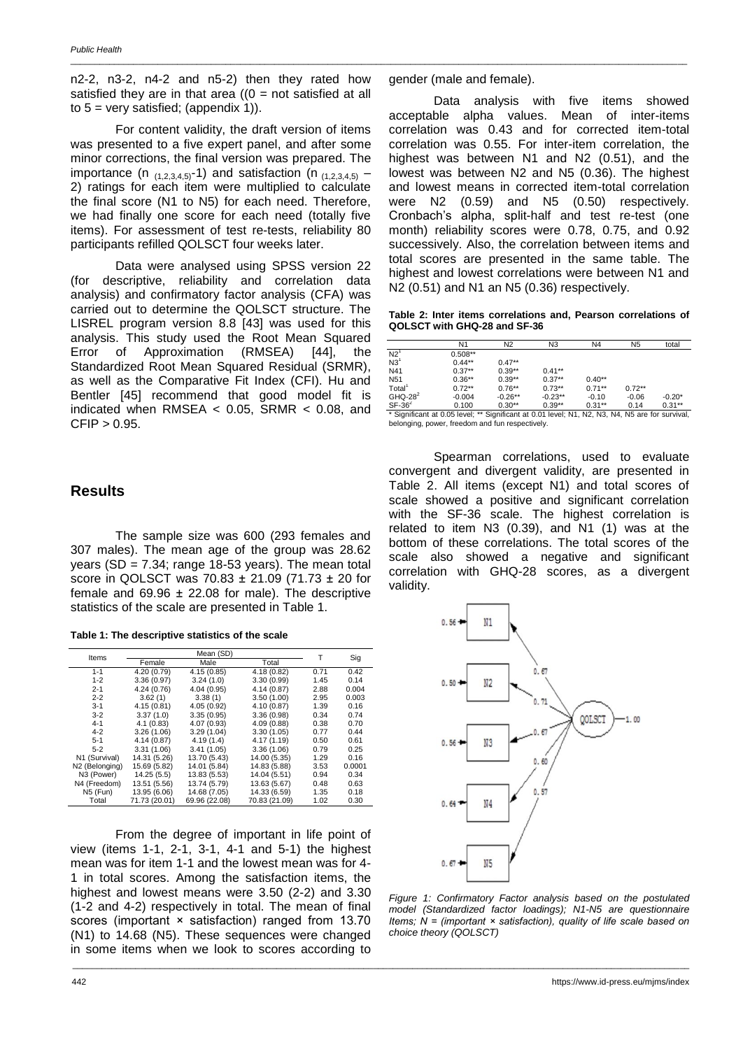n2-2, n3-2, n4-2 and n5-2) then they rated how satisfied they are in that area  $(0 = not satisfied at all)$ to  $5 = \text{very satisfied}$ ; (appendix 1)).

For content validity, the draft version of items was presented to a five expert panel, and after some minor corrections, the final version was prepared. The importance (n  $(1,2,3,4,5)$ -1) and satisfaction (n  $(1,2,3,4,5)$  – 2) ratings for each item were multiplied to calculate the final score (N1 to N5) for each need. Therefore, we had finally one score for each need (totally five items). For assessment of test re-tests, reliability 80 participants refilled QOLSCT four weeks later.

Data were analysed using SPSS version 22 (for descriptive, reliability and correlation data analysis) and confirmatory factor analysis (CFA) was carried out to determine the QOLSCT structure. The LISREL program version 8.8 [43] was used for this analysis. This study used the Root Mean Squared Error of Approximation (RMSEA) [44], the Standardized Root Mean Squared Residual (SRMR), as well as the Comparative Fit Index (CFI). Hu and Bentler [45] recommend that good model fit is indicated when RMSEA  $<$  0.05, SRMR  $<$  0.08, and  $CFIP > 0.95$ .

## **Results**

The sample size was 600 (293 females and 307 males). The mean age of the group was 28.62 years (SD =  $7.34$ ; range 18-53 years). The mean total score in QOLSCT was 70.83 ± 21.09 (71.73 ± 20 for female and  $69.96 \pm 22.08$  for male). The descriptive statistics of the scale are presented in Table 1.

|                | Mean (SD)     |               |               |      |        |
|----------------|---------------|---------------|---------------|------|--------|
| Items          |               | т             | Sig           |      |        |
|                | Female        | Male          | Total         |      |        |
| $1 - 1$        | 4.20 (0.79)   | 4.15(0.85)    | 4.18 (0.82)   | 0.71 | 0.42   |
| $1 - 2$        | 3.36(0.97)    | 3.24(1.0)     | 3.30 (0.99)   | 1.45 | 0.14   |
| $2 - 1$        | 4.24(0.76)    | 4.04(0.95)    | 4.14 (0.87)   | 2.88 | 0.004  |
| $2 - 2$        | 3.62(1)       | 3.38(1)       | 3.50(1.00)    | 2.95 | 0.003  |
| $3 - 1$        | 4.15(0.81)    | 4.05(0.92)    | 4.10 (0.87)   | 1.39 | 0.16   |
| $3 - 2$        | 3.37(1.0)     | 3.35(0.95)    | 3.36(0.98)    | 0.34 | 0.74   |
| $4 - 1$        | 4.1(0.83)     | 4.07 (0.93)   | 4.09 (0.88)   | 0.38 | 0.70   |
| $4 - 2$        | 3.26(1.06)    | 3.29(1.04)    | 3.30(1.05)    | 0.77 | 0.44   |
| $5 - 1$        | 4.14(0.87)    | 4.19(1.4)     | 4.17 (1.19)   | 0.50 | 0.61   |
| $5-2$          | 3.31(1.06)    | 3.41(1.05)    | 3.36(1.06)    | 0.79 | 0.25   |
| N1 (Survival)  | 14.31 (5.26)  | 13.70 (5.43)  | 14.00 (5.35)  | 1.29 | 0.16   |
| N2 (Belonging) | 15.69 (5.82)  | 14.01 (5.84)  | 14.83 (5.88)  | 3.53 | 0.0001 |
| N3 (Power)     | 14.25(5.5)    | 13.83 (5.53)  | 14.04 (5.51)  | 0.94 | 0.34   |
| N4 (Freedom)   | 13.51 (5.56)  | 13.74 (5.79)  | 13.63 (5.67)  | 0.48 | 0.63   |
| N5 (Fun)       | 13.95 (6.06)  | 14.68 (7.05)  | 14.33 (6.59)  | 1.35 | 0.18   |
| Total          | 71.73 (20.01) | 69.96 (22.08) | 70.83 (21.09) | 1.02 | 0.30   |

From the degree of important in life point of view (items 1-1, 2-1, 3-1, 4-1 and 5-1) the highest mean was for item 1-1 and the lowest mean was for 4- 1 in total scores. Among the satisfaction items, the highest and lowest means were 3.50 (2-2) and 3.30 (1-2 and 4-2) respectively in total. The mean of final scores (important × satisfaction) ranged from 13.70 (N1) to 14.68 (N5). These sequences were changed in some items when we look to scores according to

gender (male and female).

\_\_\_\_\_\_\_\_\_\_\_\_\_\_\_\_\_\_\_\_\_\_\_\_\_\_\_\_\_\_\_\_\_\_\_\_\_\_\_\_\_\_\_\_\_\_\_\_\_\_\_\_\_\_\_\_\_\_\_\_\_\_\_\_\_\_\_\_\_\_\_\_\_\_\_\_\_\_\_\_\_\_\_\_\_\_\_\_\_\_\_\_\_\_\_\_\_\_\_\_\_\_\_\_\_\_\_\_\_\_\_\_\_\_\_\_\_\_\_\_\_\_\_\_\_\_\_

Data analysis with five items showed acceptable alpha values. Mean of inter-items correlation was 0.43 and for corrected item-total correlation was 0.55. For inter-item correlation, the highest was between N1 and N2 (0.51), and the lowest was between N2 and N5 (0.36). The highest and lowest means in corrected item-total correlation were N2 (0.59) and N5 (0.50) respectively. Cronbach's alpha, split-half and test re-test (one month) reliability scores were 0.78, 0.75, and 0.92 successively. Also, the correlation between items and total scores are presented in the same table. The highest and lowest correlations were between N1 and N2 (0.51) and N1 an N5 (0.36) respectively.

**Table 2: Inter items correlations and, Pearson correlations of QOLSCT with GHQ-28 and SF-36**

|                    | N <sub>1</sub> | N <sub>2</sub> | N <sub>3</sub> | N <sub>4</sub> | N <sub>5</sub> | total     |
|--------------------|----------------|----------------|----------------|----------------|----------------|-----------|
| N2 <sup>1</sup>    | $0.508**$      |                |                |                |                |           |
| N3 <sup>1</sup>    | $0.44**$       | $0.47**$       |                |                |                |           |
| N41                | $0.37**$       | $0.39**$       | $0.41**$       |                |                |           |
| N <sub>51</sub>    | $0.36**$       | $0.39**$       | $0.37**$       | $0.40**$       |                |           |
| Total <sup>1</sup> | $0.72**$       | $0.76**$       | $0.73**$       | $0.71**$       | $0.72**$       |           |
| $GHQ-282$          | $-0.004$       | $-0.26**$      | $-0.23**$      | $-0.10$        | $-0.06$        | $-0.20*$  |
| $SF-362$           | 0.100          | $0.30**$       | $0.39**$       | $0.31**$       | 0.14           | $0.31***$ |

SF-36<sup>2</sup> 0.100 0.30<sup>\*\*</sup> 0.39<sup>\*\*</sup> 0.31<sup>\*\*</sup> 0.14 0.31<sup>\*\*</sup><br>\* Significant at 0.05 level; \*\* Significant at 0.01 level; N1, N2, N3, N4, N5 are for survival, belonging, power, freedom and fun respectively.

Spearman correlations, used to evaluate convergent and divergent validity, are presented in Table 2. All items (except N1) and total scores of scale showed a positive and significant correlation with the SF-36 scale. The highest correlation is related to item N3 (0.39), and N1 (1) was at the bottom of these correlations. The total scores of the scale also showed a negative and significant correlation with GHQ-28 scores, as a divergent validity.



*Figure 1: Confirmatory Factor analysis based on the postulated model (Standardized factor loadings); N1-N5 are questionnaire Items; N = (important × satisfaction), quality of life scale based on choice theory (QOLSCT)*

\_\_\_\_\_\_\_\_\_\_\_\_\_\_\_\_\_\_\_\_\_\_\_\_\_\_\_\_\_\_\_\_\_\_\_\_\_\_\_\_\_\_\_\_\_\_\_\_\_\_\_\_\_\_\_\_\_\_\_\_\_\_\_\_\_\_\_\_\_\_\_\_\_\_\_\_\_\_\_\_\_\_\_\_\_\_\_\_\_\_\_\_\_\_\_\_\_\_\_\_\_\_\_\_\_\_\_\_\_\_\_\_\_\_\_\_\_\_\_\_\_\_\_\_\_\_\_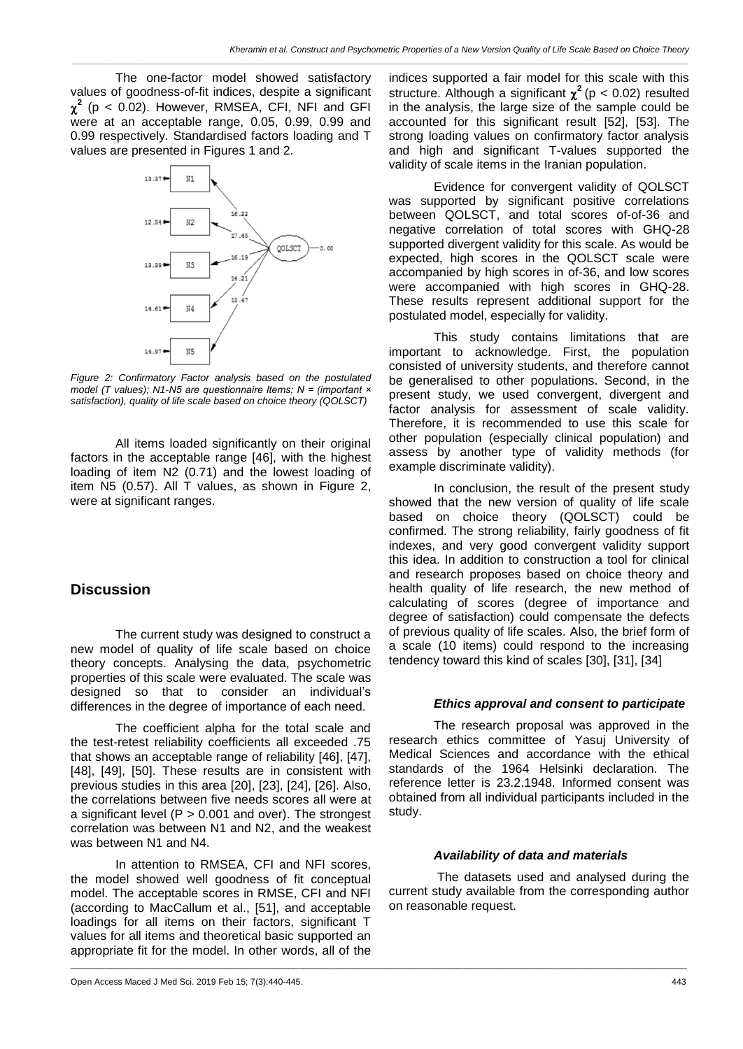*\_\_\_\_\_\_\_\_\_\_\_\_\_\_\_\_\_\_\_\_\_\_\_\_\_\_\_\_\_\_\_\_\_\_\_\_\_\_\_\_\_\_\_\_\_\_\_\_\_\_\_\_\_\_\_\_\_\_\_\_\_\_\_\_\_\_\_\_\_\_\_\_\_\_\_\_\_\_\_\_\_\_\_\_\_\_\_\_\_\_\_\_\_\_\_\_\_\_\_\_\_\_\_\_\_\_\_\_\_\_\_\_\_\_\_\_\_\_\_\_\_\_\_\_\_\_\_*

The one-factor model showed satisfactory values of goodness-of-fit indices, despite a significant  $\chi^2$  (p < 0.02). However, RMSEA, CFI, NFI and GFI were at an acceptable range, 0.05, 0.99, 0.99 and 0.99 respectively. Standardised factors loading and T values are presented in Figures 1 and 2.



*Figure 2: Confirmatory Factor analysis based on the postulated model (T values); N1-N5 are questionnaire Items; N = (important × satisfaction), quality of life scale based on choice theory (QOLSCT)*

All items loaded significantly on their original factors in the acceptable range [46], with the highest loading of item N2 (0.71) and the lowest loading of item N5 (0.57). All T values, as shown in Figure 2, were at significant ranges.

## **Discussion**

The current study was designed to construct a new model of quality of life scale based on choice theory concepts. Analysing the data, psychometric properties of this scale were evaluated. The scale was designed so that to consider an individual's differences in the degree of importance of each need.

The coefficient alpha for the total scale and the test-retest reliability coefficients all exceeded .75 that shows an acceptable range of reliability [46], [47], [48], [49], [50]. These results are in consistent with previous studies in this area [20], [23], [24], [26]. Also, the correlations between five needs scores all were at a significant level ( $P > 0.001$  and over). The strongest correlation was between N1 and N2, and the weakest was between N1 and N4.

In attention to RMSEA, CFI and NFI scores, the model showed well goodness of fit conceptual model. The acceptable scores in RMSE, CFI and NFI (according to MacCallum et al., [51], and acceptable loadings for all items on their factors, significant T values for all items and theoretical basic supported an appropriate fit for the model. In other words, all of the

\_\_\_\_\_\_\_\_\_\_\_\_\_\_\_\_\_\_\_\_\_\_\_\_\_\_\_\_\_\_\_\_\_\_\_\_\_\_\_\_\_\_\_\_\_\_\_\_\_\_\_\_\_\_\_\_\_\_\_\_\_\_\_\_\_\_\_\_\_\_\_\_\_\_\_\_\_\_\_\_\_\_\_\_\_\_\_\_\_\_\_\_\_\_\_\_\_\_\_\_\_\_\_\_\_\_\_\_\_\_\_\_\_\_\_\_\_\_\_\_\_\_\_\_\_\_\_

indices supported a fair model for this scale with this structure. Although a significant  $\chi^2$  (p < 0.02) resulted in the analysis, the large size of the sample could be accounted for this significant result [52], [53]. The strong loading values on confirmatory factor analysis and high and significant T-values supported the validity of scale items in the Iranian population.

Evidence for convergent validity of QOLSCT was supported by significant positive correlations between QOLSCT, and total scores of-of-36 and negative correlation of total scores with GHQ-28 supported divergent validity for this scale. As would be expected, high scores in the QOLSCT scale were accompanied by high scores in of-36, and low scores were accompanied with high scores in GHQ-28. These results represent additional support for the postulated model, especially for validity.

This study contains limitations that are important to acknowledge. First, the population consisted of university students, and therefore cannot be generalised to other populations. Second, in the present study, we used convergent, divergent and factor analysis for assessment of scale validity. Therefore, it is recommended to use this scale for other population (especially clinical population) and assess by another type of validity methods (for example discriminate validity).

In conclusion, the result of the present study showed that the new version of quality of life scale based on choice theory (QOLSCT) could be confirmed. The strong reliability, fairly goodness of fit indexes, and very good convergent validity support this idea. In addition to construction a tool for clinical and research proposes based on choice theory and health quality of life research, the new method of calculating of scores (degree of importance and degree of satisfaction) could compensate the defects of previous quality of life scales. Also, the brief form of a scale (10 items) could respond to the increasing tendency toward this kind of scales [30], [31], [34]

#### *Ethics approval and consent to participate*

The research proposal was approved in the research ethics committee of Yasuj University of Medical Sciences and accordance with the ethical standards of the 1964 Helsinki declaration. The reference letter is 23.2.1948. Informed consent was obtained from all individual participants included in the study.

#### *Availability of data and materials*

The datasets used and analysed during the current study available from the corresponding author on reasonable request.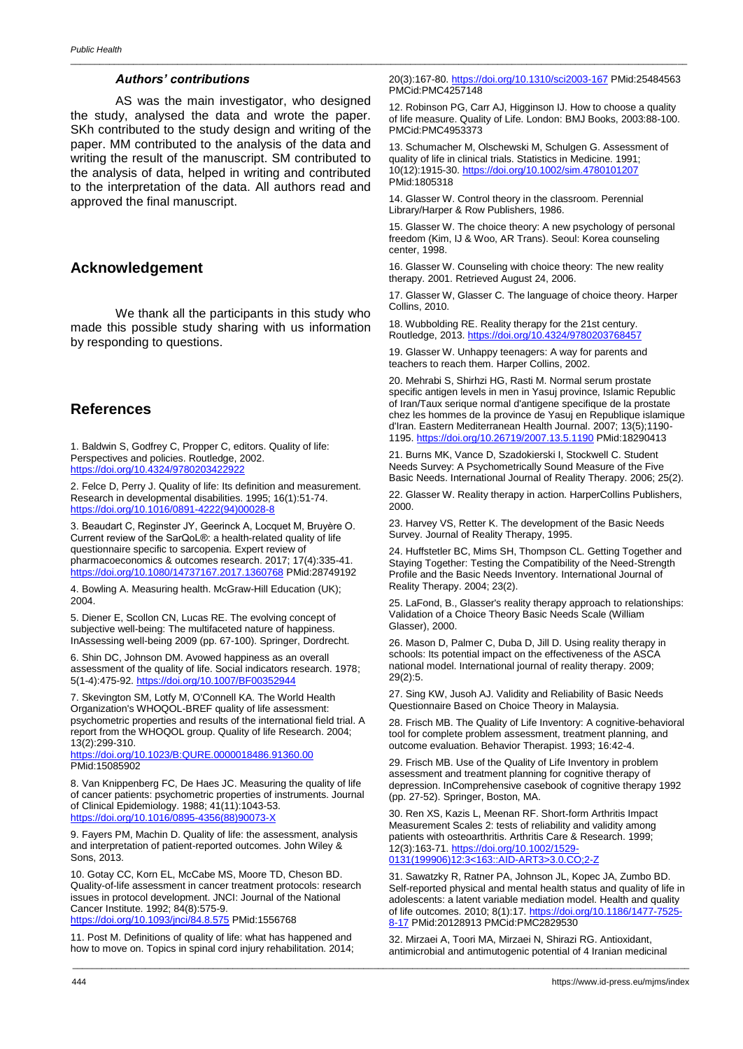#### *Authors' contributions*

AS was the main investigator, who designed the study, analysed the data and wrote the paper. SKh contributed to the study design and writing of the paper. MM contributed to the analysis of the data and writing the result of the manuscript. SM contributed to the analysis of data, helped in writing and contributed to the interpretation of the data. All authors read and approved the final manuscript.

## **Acknowledgement**

We thank all the participants in this study who made this possible study sharing with us information by responding to questions.

## **References**

1. Baldwin S, Godfrey C, Propper C, editors. Quality of life: Perspectives and policies. Routledge, 2002. <https://doi.org/10.4324/9780203422922>

2. Felce D, Perry J. Quality of life: Its definition and measurement. Research in developmental disabilities. 1995; 16(1):51-74. [https://doi.org/10.1016/0891-4222\(94\)00028-8](https://doi.org/10.1016/0891-4222(94)00028-8)

3. Beaudart C, Reginster JY, Geerinck A, Locquet M, Bruyère O. Current review of the SarQoL®: a health-related quality of life questionnaire specific to sarcopenia. Expert review of pharmacoeconomics & outcomes research. 2017; 17(4):335-41. <https://doi.org/10.1080/14737167.2017.1360768> PMid:28749192

4. Bowling A. Measuring health. McGraw-Hill Education (UK); 2004.

5. Diener E, Scollon CN, Lucas RE. The evolving concept of subjective well-being: The multifaceted nature of happiness. InAssessing well-being 2009 (pp. 67-100). Springer, Dordrecht.

6. Shin DC, Johnson DM. Avowed happiness as an overall assessment of the quality of life. Social indicators research. 1978; 5(1-4):475-92. <https://doi.org/10.1007/BF00352944>

7. Skevington SM, Lotfy M, O'Connell KA. The World Health Organization's WHOQOL-BREF quality of life assessment: psychometric properties and results of the international field trial. A report from the WHOQOL group. Quality of life Research. 2004; 13(2):299-310.

<https://doi.org/10.1023/B:QURE.0000018486.91360.00> PMid:15085902

8. Van Knippenberg FC, De Haes JC. Measuring the quality of life of cancer patients: psychometric properties of instruments. Journal of Clinical Epidemiology. 1988; 41(11):1043-53. [https://doi.org/10.1016/0895-4356\(88\)90073-X](https://doi.org/10.1016/0895-4356(88)90073-X)

9. Fayers PM, Machin D. Quality of life: the assessment, analysis and interpretation of patient-reported outcomes. John Wiley & Sons, 2013.

10. Gotay CC, Korn EL, McCabe MS, Moore TD, Cheson BD. Quality-of-life assessment in cancer treatment protocols: research issues in protocol development. JNCI: Journal of the National Cancer Institute. 1992; 84(8):575-9.

<https://doi.org/10.1093/jnci/84.8.575> PMid:1556768

11. Post M. Definitions of quality of life: what has happened and how to move on. Topics in spinal cord injury rehabilitation. 2014; 20(3):167-80. <https://doi.org/10.1310/sci2003-167> PMid:25484563 PMCid:PMC4257148

\_\_\_\_\_\_\_\_\_\_\_\_\_\_\_\_\_\_\_\_\_\_\_\_\_\_\_\_\_\_\_\_\_\_\_\_\_\_\_\_\_\_\_\_\_\_\_\_\_\_\_\_\_\_\_\_\_\_\_\_\_\_\_\_\_\_\_\_\_\_\_\_\_\_\_\_\_\_\_\_\_\_\_\_\_\_\_\_\_\_\_\_\_\_\_\_\_\_\_\_\_\_\_\_\_\_\_\_\_\_\_\_\_\_\_\_\_\_\_\_\_\_\_\_\_\_\_

12. Robinson PG, Carr AJ, Higginson IJ. How to choose a quality of life measure. Quality of Life. London: BMJ Books, 2003:88-100. PMCid:PMC4953373

13. Schumacher M, Olschewski M, Schulgen G. Assessment of quality of life in clinical trials. Statistics in Medicine. 1991; 10(12):1915-30. <https://doi.org/10.1002/sim.4780101207> PMid:1805318

14. Glasser W. Control theory in the classroom. Perennial Library/Harper & Row Publishers, 1986.

15. Glasser W. The choice theory: A new psychology of personal freedom (Kim, IJ & Woo, AR Trans). Seoul: Korea counseling center, 1998.

16. Glasser W. Counseling with choice theory: The new reality therapy. 2001. Retrieved August 24, 2006.

17. Glasser W, Glasser C. The language of choice theory. Harper Collins, 2010.

18. Wubbolding RE. Reality therapy for the 21st century. Routledge, 2013. <https://doi.org/10.4324/9780203768457>

19. Glasser W. Unhappy teenagers: A way for parents and teachers to reach them. Harper Collins, 2002.

20. Mehrabi S, Shirhzi HG, Rasti M. Normal serum prostate specific antigen levels in men in Yasuj province, Islamic Republic of Iran/Taux serique normal d'antigene specifique de la prostate chez les hommes de la province de Yasuj en Republique islamique d'Iran. Eastern Mediterranean Health Journal. 2007; 13(5);1190- 1195. <https://doi.org/10.26719/2007.13.5.1190> PMid:18290413

21. Burns MK, Vance D, Szadokierski I, Stockwell C. Student Needs Survey: A Psychometrically Sound Measure of the Five Basic Needs. International Journal of Reality Therapy. 2006; 25(2).

22. Glasser W. Reality therapy in action. HarperCollins Publishers, 2000.

23. Harvey VS, Retter K. The development of the Basic Needs Survey. Journal of Reality Therapy, 1995.

24. Huffstetler BC, Mims SH, Thompson CL. Getting Together and Staying Together: Testing the Compatibility of the Need-Strength Profile and the Basic Needs Inventory. International Journal of Reality Therapy. 2004; 23(2).

25. LaFond, B., Glasser's reality therapy approach to relationships: Validation of a Choice Theory Basic Needs Scale (William Glasser), 2000.

26. Mason D, Palmer C, Duba D, Jill D. Using reality therapy in schools: Its potential impact on the effectiveness of the ASCA national model. International journal of reality therapy. 2009; 29(2):5.

27. Sing KW, Jusoh AJ. Validity and Reliability of Basic Needs Questionnaire Based on Choice Theory in Malaysia.

28. Frisch MB. The Quality of Life Inventory: A cognitive-behavioral tool for complete problem assessment, treatment planning, and outcome evaluation. Behavior Therapist. 1993; 16:42-4.

29. Frisch MB. Use of the Quality of Life Inventory in problem assessment and treatment planning for cognitive therapy of depression. InComprehensive casebook of cognitive therapy 1992 (pp. 27-52). Springer, Boston, MA.

30. Ren XS, Kazis L, Meenan RF. Short‐form Arthritis Impact Measurement Scales 2: tests of reliability and validity among patients with osteoarthritis. Arthritis Care & Research. 1999; 12(3):163-71. [https://doi.org/10.1002/1529-](https://doi.org/10.1002/1529-0131(199906)12:3%3c163::AID-ART3%3e3.0.CO;2-Z) [0131\(199906\)12:3<163::AID-ART3>3.0.CO;2-Z](https://doi.org/10.1002/1529-0131(199906)12:3%3c163::AID-ART3%3e3.0.CO;2-Z)

31. Sawatzky R, Ratner PA, Johnson JL, Kopec JA, Zumbo BD. Self-reported physical and mental health status and quality of life in adolescents: a latent variable mediation model. Health and quality of life outcomes. 2010; 8(1):17. https://doi.org/10.1186/1477-752 [8-17](https://doi.org/10.1186/1477-7525-8-17) PMid:20128913 PMCid:PMC2829530

32. Mirzaei A, Toori MA, Mirzaei N, Shirazi RG. Antioxidant, antimicrobial and antimutogenic potential of 4 Iranian medicinal

\_\_\_\_\_\_\_\_\_\_\_\_\_\_\_\_\_\_\_\_\_\_\_\_\_\_\_\_\_\_\_\_\_\_\_\_\_\_\_\_\_\_\_\_\_\_\_\_\_\_\_\_\_\_\_\_\_\_\_\_\_\_\_\_\_\_\_\_\_\_\_\_\_\_\_\_\_\_\_\_\_\_\_\_\_\_\_\_\_\_\_\_\_\_\_\_\_\_\_\_\_\_\_\_\_\_\_\_\_\_\_\_\_\_\_\_\_\_\_\_\_\_\_\_\_\_\_